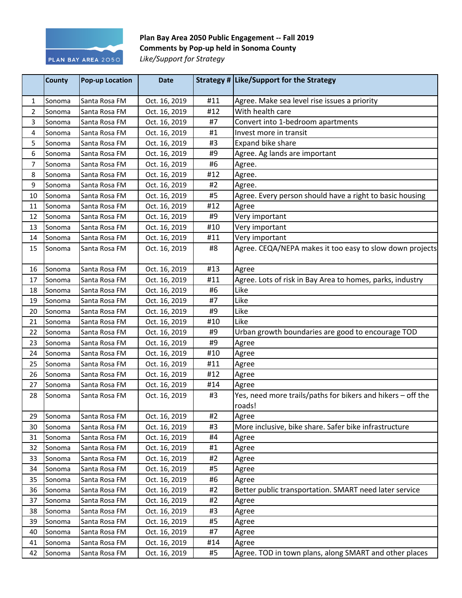

## Plan Bay Area 2050 Public Engagement -- Fall 2019 **Comments by Pop-up held in Sonoma County** Like/Support for Strategy

|                | <b>County</b> | <b>Pop-up Location</b> | <b>Date</b>   |     | Strategy # Like/Support for the Strategy                    |
|----------------|---------------|------------------------|---------------|-----|-------------------------------------------------------------|
| 1              | Sonoma        | Santa Rosa FM          | Oct. 16, 2019 | #11 | Agree. Make sea level rise issues a priority                |
| 2              | Sonoma        | Santa Rosa FM          | Oct. 16, 2019 | #12 | With health care                                            |
| 3              | Sonoma        | Santa Rosa FM          | Oct. 16, 2019 | #7  | Convert into 1-bedroom apartments                           |
| 4              | Sonoma        | Santa Rosa FM          | Oct. 16, 2019 | #1  | Invest more in transit                                      |
| 5              | Sonoma        | Santa Rosa FM          | Oct. 16, 2019 | #3  | Expand bike share                                           |
| 6              | Sonoma        | Santa Rosa FM          | Oct. 16, 2019 | #9  | Agree. Ag lands are important                               |
| $\overline{7}$ | Sonoma        | Santa Rosa FM          | Oct. 16, 2019 | #6  | Agree.                                                      |
| 8              | Sonoma        | Santa Rosa FM          | Oct. 16, 2019 | #12 | Agree.                                                      |
| 9              | Sonoma        | Santa Rosa FM          | Oct. 16, 2019 | #2  | Agree.                                                      |
| 10             | Sonoma        | Santa Rosa FM          | Oct. 16, 2019 | #5  | Agree. Every person should have a right to basic housing    |
| 11             | Sonoma        | Santa Rosa FM          | Oct. 16, 2019 | #12 | Agree                                                       |
| 12             | Sonoma        | Santa Rosa FM          | Oct. 16, 2019 | #9  | Very important                                              |
| 13             | Sonoma        | Santa Rosa FM          | Oct. 16, 2019 | #10 | Very important                                              |
| 14             | Sonoma        | Santa Rosa FM          | Oct. 16, 2019 | #11 | Very important                                              |
| 15             | Sonoma        | Santa Rosa FM          | Oct. 16, 2019 | #8  | Agree. CEQA/NEPA makes it too easy to slow down projects    |
| 16             | Sonoma        | Santa Rosa FM          | Oct. 16, 2019 | #13 | Agree                                                       |
| 17             | Sonoma        | Santa Rosa FM          | Oct. 16, 2019 | #11 | Agree. Lots of risk in Bay Area to homes, parks, industry   |
| 18             | Sonoma        | Santa Rosa FM          | Oct. 16, 2019 | #6  | Like                                                        |
| 19             | Sonoma        | Santa Rosa FM          | Oct. 16, 2019 | #7  | Like                                                        |
| 20             | Sonoma        | Santa Rosa FM          | Oct. 16, 2019 | #9  | Like                                                        |
| 21             | Sonoma        | Santa Rosa FM          | Oct. 16, 2019 | #10 | Like                                                        |
| 22             | Sonoma        | Santa Rosa FM          | Oct. 16, 2019 | #9  | Urban growth boundaries are good to encourage TOD           |
| 23             | Sonoma        | Santa Rosa FM          | Oct. 16, 2019 | #9  | Agree                                                       |
| 24             | Sonoma        | Santa Rosa FM          | Oct. 16, 2019 | #10 | Agree                                                       |
| 25             | Sonoma        | Santa Rosa FM          | Oct. 16, 2019 | #11 | Agree                                                       |
| 26             | Sonoma        | Santa Rosa FM          | Oct. 16, 2019 | #12 | Agree                                                       |
| 27             | Sonoma        | Santa Rosa FM          | Oct. 16, 2019 | #14 | Agree                                                       |
| 28             | Sonoma        | Santa Rosa FM          | Oct. 16, 2019 | #3  | Yes, need more trails/paths for bikers and hikers - off the |
|                |               |                        |               |     | roads!                                                      |
| 29             | Sonoma        | Santa Rosa FM          | Oct. 16, 2019 | #2  | Agree                                                       |
| 30             | Sonoma        | Santa Rosa FM          | Oct. 16, 2019 | #3  | More inclusive, bike share. Safer bike infrastructure       |
| 31             | Sonoma        | Santa Rosa FM          | Oct. 16, 2019 | #4  | Agree                                                       |
| 32             | Sonoma        | Santa Rosa FM          | Oct. 16, 2019 | #1  | Agree                                                       |
| 33             | Sonoma        | Santa Rosa FM          | Oct. 16, 2019 | #2  | Agree                                                       |
| 34             | Sonoma        | Santa Rosa FM          | Oct. 16, 2019 | #5  | Agree                                                       |
| 35             | Sonoma        | Santa Rosa FM          | Oct. 16, 2019 | #6  | Agree                                                       |
| 36             | Sonoma        | Santa Rosa FM          | Oct. 16, 2019 | #2  | Better public transportation. SMART need later service      |
| 37             | Sonoma        | Santa Rosa FM          | Oct. 16, 2019 | #2  | Agree                                                       |
| 38             | Sonoma        | Santa Rosa FM          | Oct. 16, 2019 | #3  | Agree                                                       |
| 39             | Sonoma        | Santa Rosa FM          | Oct. 16, 2019 | #5  | Agree                                                       |
| 40             | Sonoma        | Santa Rosa FM          | Oct. 16, 2019 | #7  | Agree                                                       |
| 41             | Sonoma        | Santa Rosa FM          | Oct. 16, 2019 | #14 | Agree                                                       |
| 42             | Sonoma        | Santa Rosa FM          | Oct. 16, 2019 | #5  | Agree. TOD in town plans, along SMART and other places      |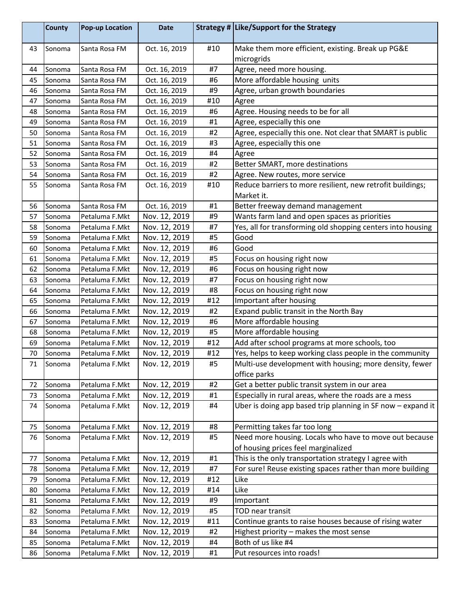|    | <b>County</b> | <b>Pop-up Location</b> | <b>Date</b>   |     | Strategy # Like/Support for the Strategy                        |
|----|---------------|------------------------|---------------|-----|-----------------------------------------------------------------|
| 43 | Sonoma        | Santa Rosa FM          | Oct. 16, 2019 | #10 | Make them more efficient, existing. Break up PG&E<br>microgrids |
| 44 | Sonoma        | Santa Rosa FM          | Oct. 16, 2019 | #7  | Agree, need more housing.                                       |
| 45 | Sonoma        | Santa Rosa FM          | Oct. 16, 2019 | #6  | More affordable housing units                                   |
| 46 | Sonoma        | Santa Rosa FM          | Oct. 16, 2019 | #9  | Agree, urban growth boundaries                                  |
| 47 | Sonoma        | Santa Rosa FM          | Oct. 16, 2019 | #10 | Agree                                                           |
| 48 | Sonoma        | Santa Rosa FM          | Oct. 16, 2019 | #6  | Agree. Housing needs to be for all                              |
| 49 | Sonoma        | Santa Rosa FM          | Oct. 16, 2019 | #1  | Agree, especially this one                                      |
| 50 | Sonoma        | Santa Rosa FM          | Oct. 16, 2019 | #2  | Agree, especially this one. Not clear that SMART is public      |
| 51 | Sonoma        | Santa Rosa FM          | Oct. 16, 2019 | #3  | Agree, especially this one                                      |
| 52 | Sonoma        | Santa Rosa FM          | Oct. 16, 2019 | #4  | Agree                                                           |
| 53 | Sonoma        | Santa Rosa FM          | Oct. 16, 2019 | #2  | Better SMART, more destinations                                 |
| 54 | Sonoma        | Santa Rosa FM          | Oct. 16, 2019 | #2  | Agree. New routes, more service                                 |
| 55 | Sonoma        | Santa Rosa FM          | Oct. 16, 2019 | #10 | Reduce barriers to more resilient, new retrofit buildings;      |
|    |               |                        |               |     | Market it.                                                      |
| 56 | Sonoma        | Santa Rosa FM          | Oct. 16, 2019 | #1  | Better freeway demand management                                |
| 57 | Sonoma        | Petaluma F.Mkt         | Nov. 12, 2019 | #9  | Wants farm land and open spaces as priorities                   |
| 58 | Sonoma        | Petaluma F.Mkt         | Nov. 12, 2019 | #7  | Yes, all for transforming old shopping centers into housing     |
| 59 | Sonoma        | Petaluma F.Mkt         | Nov. 12, 2019 | #5  | Good                                                            |
| 60 | Sonoma        | Petaluma F.Mkt         | Nov. 12, 2019 | #6  | Good                                                            |
| 61 | Sonoma        | Petaluma F.Mkt         | Nov. 12, 2019 | #5  | Focus on housing right now                                      |
| 62 | Sonoma        | Petaluma F.Mkt         | Nov. 12, 2019 | #6  | Focus on housing right now                                      |
| 63 | Sonoma        | Petaluma F.Mkt         | Nov. 12, 2019 | #7  | Focus on housing right now                                      |
| 64 | Sonoma        | Petaluma F.Mkt         | Nov. 12, 2019 | #8  | Focus on housing right now                                      |
| 65 | Sonoma        | Petaluma F.Mkt         | Nov. 12, 2019 | #12 | Important after housing                                         |
| 66 | Sonoma        | Petaluma F.Mkt         | Nov. 12, 2019 | #2  | Expand public transit in the North Bay                          |
| 67 | Sonoma        | Petaluma F.Mkt         | Nov. 12, 2019 | #6  | More affordable housing                                         |
| 68 | Sonoma        | Petaluma F.Mkt         | Nov. 12, 2019 | #5  | More affordable housing                                         |
| 69 | Sonoma        | Petaluma F.Mkt         | Nov. 12, 2019 | #12 | Add after school programs at more schools, too                  |
| 70 | Sonoma        | Petaluma F.Mkt         | Nov. 12, 2019 | #12 | Yes, helps to keep working class people in the community        |
| 71 | Sonoma        | Petaluma F.Mkt         | Nov. 12, 2019 | #5  | Multi-use development with housing; more density, fewer         |
|    |               |                        |               |     | office parks                                                    |
| 72 | Sonoma        | Petaluma F.Mkt         | Nov. 12, 2019 | #2  | Get a better public transit system in our area                  |
| 73 | Sonoma        | Petaluma F.Mkt         | Nov. 12, 2019 | #1  | Especially in rural areas, where the roads are a mess           |
| 74 | Sonoma        | Petaluma F.Mkt         | Nov. 12, 2019 | #4  | Uber is doing app based trip planning in SF now - expand it     |
| 75 | Sonoma        | Petaluma F.Mkt         | Nov. 12, 2019 | #8  | Permitting takes far too long                                   |
| 76 | Sonoma        | Petaluma F.Mkt         | Nov. 12, 2019 | #5  | Need more housing. Locals who have to move out because          |
|    |               |                        |               |     | of housing prices feel marginalized                             |
| 77 | Sonoma        | Petaluma F.Mkt         | Nov. 12, 2019 | #1  | This is the only transportation strategy I agree with           |
| 78 | Sonoma        | Petaluma F.Mkt         | Nov. 12, 2019 | #7  | For sure! Reuse existing spaces rather than more building       |
| 79 | Sonoma        | Petaluma F.Mkt         | Nov. 12, 2019 | #12 | Like                                                            |
| 80 | Sonoma        | Petaluma F.Mkt         | Nov. 12, 2019 | #14 | Like                                                            |
| 81 | Sonoma        | Petaluma F.Mkt         | Nov. 12, 2019 | #9  | Important                                                       |
| 82 | Sonoma        | Petaluma F.Mkt         | Nov. 12, 2019 | #5  | TOD near transit                                                |
| 83 | Sonoma        | Petaluma F.Mkt         | Nov. 12, 2019 | #11 | Continue grants to raise houses because of rising water         |
| 84 | Sonoma        | Petaluma F.Mkt         | Nov. 12, 2019 | #2  | Highest priority - makes the most sense                         |
| 85 | Sonoma        | Petaluma F.Mkt         | Nov. 12, 2019 | #4  | Both of us like #4                                              |
| 86 | Sonoma        | Petaluma F.Mkt         | Nov. 12, 2019 | #1  | Put resources into roads!                                       |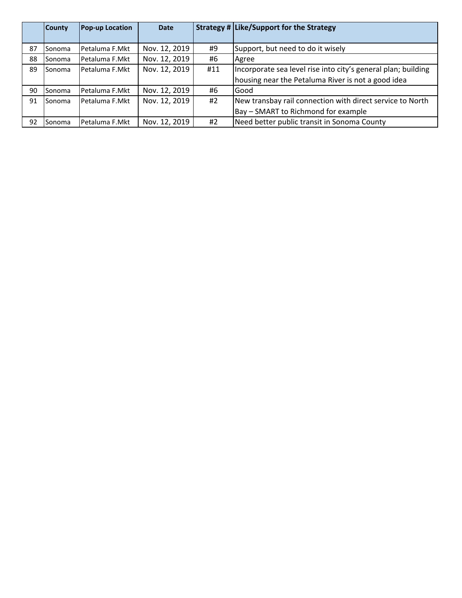|    | <b>County</b> | Pop-up Location | <b>Date</b>   |     | Strategy # Like/Support for the Strategy                      |
|----|---------------|-----------------|---------------|-----|---------------------------------------------------------------|
|    |               |                 |               |     |                                                               |
| 87 | Sonoma        | Petaluma F.Mkt  | Nov. 12, 2019 | #9  | Support, but need to do it wisely                             |
| 88 | lSonoma       | Petaluma F.Mkt  | Nov. 12, 2019 | #6  | Agree                                                         |
| 89 | lSonoma       | Petaluma F.Mkt  | Nov. 12, 2019 | #11 | Incorporate sea level rise into city's general plan; building |
|    |               |                 |               |     | housing near the Petaluma River is not a good idea            |
| 90 | Sonoma        | Petaluma F.Mkt  | Nov. 12, 2019 | #6  | Good                                                          |
| 91 | Sonoma        | Petaluma F.Mkt  | Nov. 12, 2019 | #2  | New transbay rail connection with direct service to North     |
|    |               |                 |               |     | Bay - SMART to Richmond for example                           |
| 92 | lSonoma       | Petaluma F.Mkt  | Nov. 12, 2019 | #2  | Need better public transit in Sonoma County                   |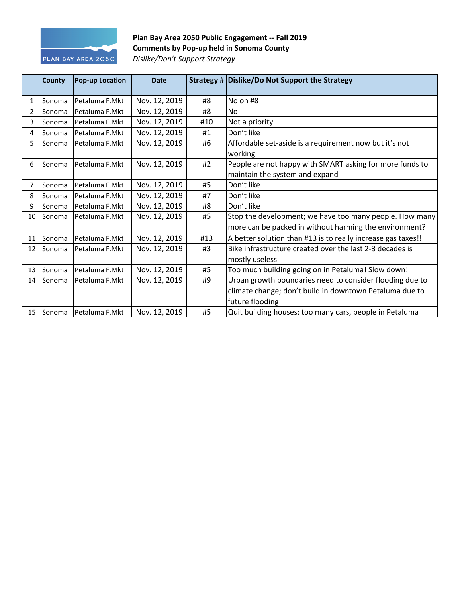

## Plan Bay Area 2050 Public Engagement -- Fall 2019 **Comments by Pop-up held in Sonoma County** *Dislike/Don't Support Strategy*

|                | County        | <b>Pop-up Location</b> | <b>Date</b>   |     | Strategy # Dislike/Do Not Support the Strategy               |
|----------------|---------------|------------------------|---------------|-----|--------------------------------------------------------------|
| 1              | Sonoma        | Petaluma F.Mkt         | Nov. 12, 2019 | #8  | No on #8                                                     |
| $\overline{2}$ | Sonoma        | lPetaluma F.Mkt        | Nov. 12, 2019 | #8  | N <sub>o</sub>                                               |
| 3              | Sonoma        | Petaluma F.Mkt         | Nov. 12, 2019 | #10 | Not a priority                                               |
| 4              | Sonoma        | Petaluma F.Mkt         | Nov. 12, 2019 | #1  | Don't like                                                   |
| 5.             | Sonoma        | Petaluma F.Mkt         | Nov. 12, 2019 | #6  | Affordable set-aside is a requirement now but it's not       |
|                |               |                        |               |     | working                                                      |
| 6              | Sonoma        | Petaluma F.Mkt         | Nov. 12, 2019 | #2  | People are not happy with SMART asking for more funds to     |
|                |               |                        |               |     | maintain the system and expand                               |
| 7              | Sonoma        | Petaluma F.Mkt         | Nov. 12, 2019 | #5  | Don't like                                                   |
| 8              | Sonoma        | Petaluma F.Mkt         | Nov. 12, 2019 | #7  | Don't like                                                   |
| 9              | Sonoma        | Petaluma F.Mkt         | Nov. 12, 2019 | #8  | Don't like                                                   |
| 10             | <b>Sonoma</b> | Petaluma F.Mkt         | Nov. 12, 2019 | #5  | Stop the development; we have too many people. How many      |
|                |               |                        |               |     | more can be packed in without harming the environment?       |
| 11             | Sonoma        | Petaluma F.Mkt         | Nov. 12, 2019 | #13 | A better solution than #13 is to really increase gas taxes!! |
| 12             | Sonoma        | Petaluma F.Mkt         | Nov. 12, 2019 | #3  | Bike infrastructure created over the last 2-3 decades is     |
|                |               |                        |               |     | mostly useless                                               |
| 13             | Sonoma        | Petaluma F.Mkt         | Nov. 12, 2019 | #5  | Too much building going on in Petaluma! Slow down!           |
| 14             | <b>Sonoma</b> | Petaluma F.Mkt         | Nov. 12, 2019 | #9  | Urban growth boundaries need to consider flooding due to     |
|                |               |                        |               |     | climate change; don't build in downtown Petaluma due to      |
|                |               |                        |               |     | future flooding                                              |
| 15             | Sonoma        | Petaluma F.Mkt         | Nov. 12, 2019 | #5  | Quit building houses; too many cars, people in Petaluma      |